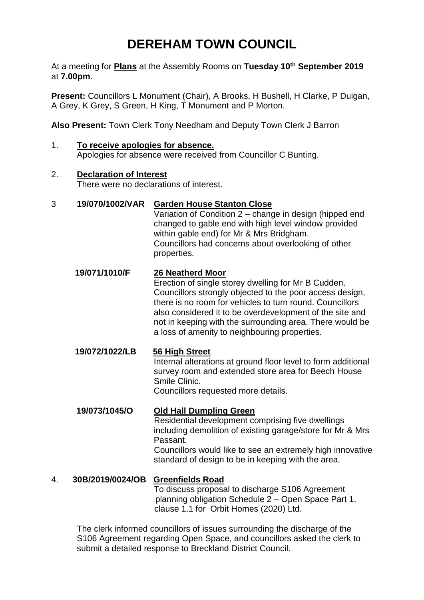# **DEREHAM TOWN COUNCIL**

At a meeting for **Plans** at the Assembly Rooms on **Tuesday 10th September 2019** at **7.00pm**.

**Present:** Councillors L Monument (Chair), A Brooks, H Bushell, H Clarke, P Duigan, A Grey, K Grey, S Green, H King, T Monument and P Morton.

**Also Present:** Town Clerk Tony Needham and Deputy Town Clerk J Barron

1. **To receive apologies for absence.**  Apologies for absence were received from Councillor C Bunting.

## 2. **Declaration of Interest**

There were no declarations of interest.

#### 3 **19/070/1002/VAR Garden House Stanton Close**

Variation of Condition 2 – change in design (hipped end changed to gable end with high level window provided within gable end) for Mr & Mrs Bridgham. Councillors had concerns about overlooking of other properties.

#### **19/071/1010/F 26 Neatherd Moor**

Erection of single storey dwelling for Mr B Cudden. Councillors strongly objected to the poor access design, there is no room for vehicles to turn round. Councillors also considered it to be overdevelopment of the site and not in keeping with the surrounding area. There would be a loss of amenity to neighbouring properties.

## **19/072/1022/LB 56 High Street**  Internal alterations at ground floor level to form additional survey room and extended store area for Beech House Smile Clinic.

Councillors requested more details.

#### **19/073/1045/O Old Hall Dumpling Green** Residential development comprising five dwellings including demolition of existing garage/store for Mr & Mrs Passant. Councillors would like to see an extremely high innovative

standard of design to be in keeping with the area.

## 4. **30B/2019/0024/OB Greenfields Road**

To discuss proposal to discharge S106 Agreement planning obligation Schedule 2 – Open Space Part 1, clause 1.1 for Orbit Homes (2020) Ltd.

The clerk informed councillors of issues surrounding the discharge of the S106 Agreement regarding Open Space, and councillors asked the clerk to submit a detailed response to Breckland District Council.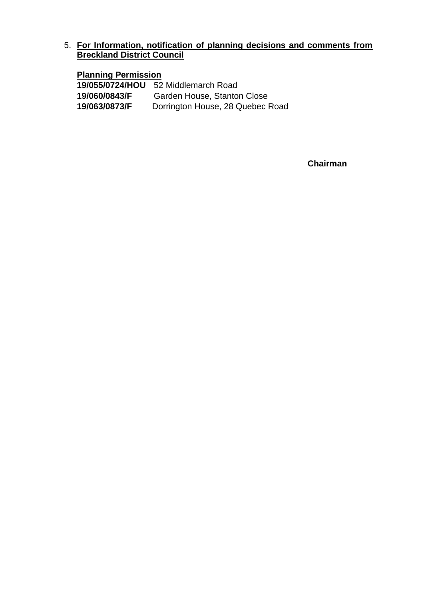## 5. **For Information, notification of planning decisions and comments from Breckland District Council**

#### **Planning Permission**

**19/055/0724/HOU** 52 Middlemarch Road **19/060/0843/F** Garden House, Stanton Close **19/063/0873/F** Dorrington House, 28 Quebec Road

**Chairman**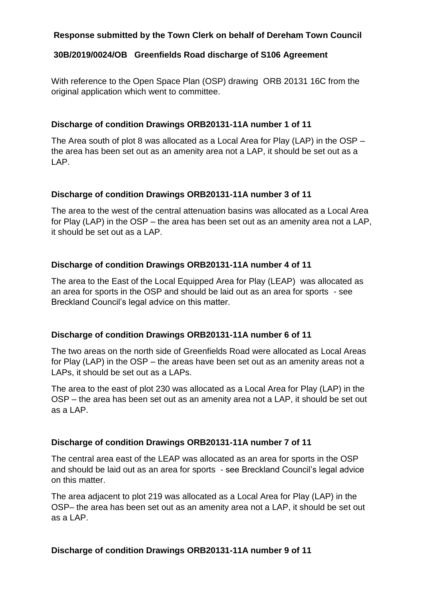## **Response submitted by the Town Clerk on behalf of Dereham Town Council**

#### **30B/2019/0024/OB Greenfields Road discharge of S106 Agreement**

With reference to the Open Space Plan (OSP) drawing ORB 20131 16C from the original application which went to committee.

#### **Discharge of condition Drawings ORB20131-11A number 1 of 11**

The Area south of plot 8 was allocated as a Local Area for Play (LAP) in the OSP – the area has been set out as an amenity area not a LAP, it should be set out as a LAP.

#### **Discharge of condition Drawings ORB20131-11A number 3 of 11**

The area to the west of the central attenuation basins was allocated as a Local Area for Play (LAP) in the OSP – the area has been set out as an amenity area not a LAP, it should be set out as a LAP.

#### **Discharge of condition Drawings ORB20131-11A number 4 of 11**

The area to the East of the Local Equipped Area for Play (LEAP) was allocated as an area for sports in the OSP and should be laid out as an area for sports - see Breckland Council's legal advice on this matter.

#### **Discharge of condition Drawings ORB20131-11A number 6 of 11**

The two areas on the north side of Greenfields Road were allocated as Local Areas for Play (LAP) in the OSP – the areas have been set out as an amenity areas not a LAPs, it should be set out as a LAPs.

The area to the east of plot 230 was allocated as a Local Area for Play (LAP) in the OSP – the area has been set out as an amenity area not a LAP, it should be set out as a LAP.

## **Discharge of condition Drawings ORB20131-11A number 7 of 11**

The central area east of the LEAP was allocated as an area for sports in the OSP and should be laid out as an area for sports - see Breckland Council's legal advice on this matter.

The area adjacent to plot 219 was allocated as a Local Area for Play (LAP) in the OSP– the area has been set out as an amenity area not a LAP, it should be set out as a LAP.

#### **Discharge of condition Drawings ORB20131-11A number 9 of 11**